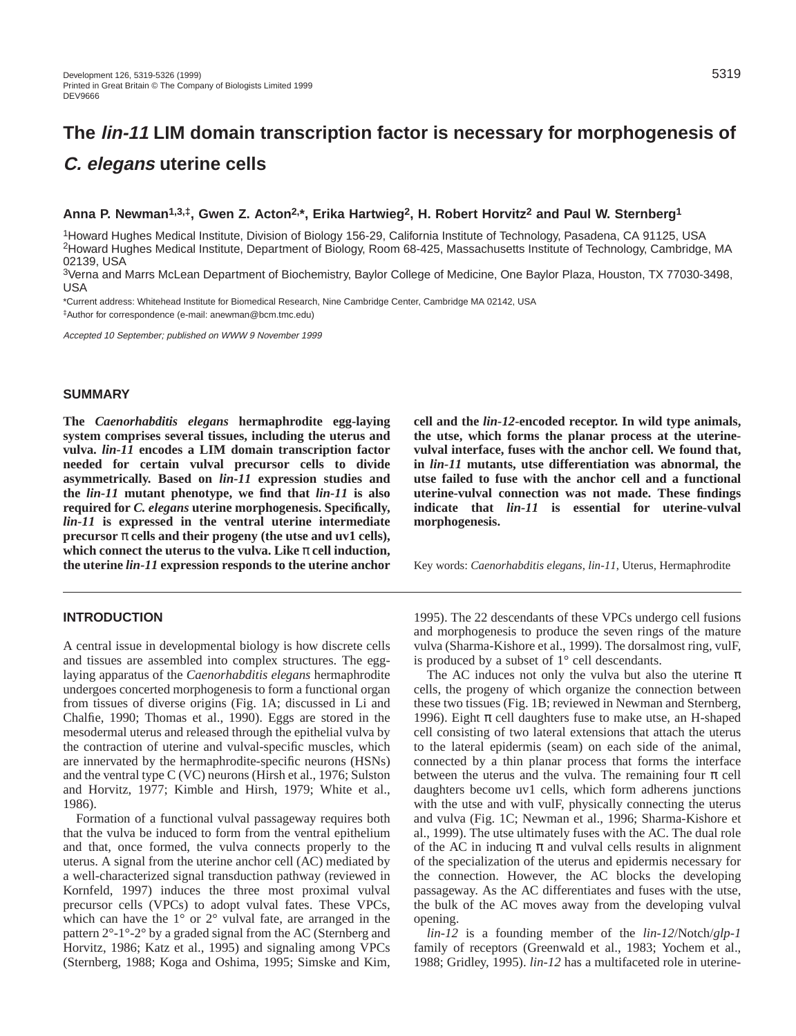# **The lin-11 LIM domain transcription factor is necessary for morphogenesis of C. elegans uterine cells**

# **Anna P. Newman1,3,‡, Gwen Z. Acton2,\*, Erika Hartwieg2, H. Robert Horvitz2 and Paul W. Sternberg1**

1Howard Hughes Medical Institute, Division of Biology 156-29, California Institute of Technology, Pasadena, CA 91125, USA 2Howard Hughes Medical Institute, Department of Biology, Room 68-425, Massachusetts Institute of Technology, Cambridge, MA 02139, USA

3Verna and Marrs McLean Department of Biochemistry, Baylor College of Medicine, One Baylor Plaza, Houston, TX 77030-3498, USA

\*Current address: Whitehead Institute for Biomedical Research, Nine Cambridge Center, Cambridge MA 02142, USA ‡Author for correspondence (e-mail: anewman@bcm.tmc.edu)

Accepted 10 September; published on WWW 9 November 1999

# **SUMMARY**

**The** *Caenorhabditis elegans* **hermaphrodite egg-laying system comprises several tissues, including the uterus and vulva.** *lin-11* **encodes a LIM domain transcription factor needed for certain vulval precursor cells to divide asymmetrically. Based on** *lin-11* **expression studies and the** *lin-11* **mutant phenotype, we find that** *lin-11* **is also required for** *C. elegans* **uterine morphogenesis. Specifically,** *lin-11* **is expressed in the ventral uterine intermediate precursor** π **cells and their progeny (the utse and uv1 cells), which connect the uterus to the vulva. Like** π **cell induction, the uterine** *lin-11* **expression responds to the uterine anchor**

#### **INTRODUCTION**

A central issue in developmental biology is how discrete cells and tissues are assembled into complex structures. The egglaying apparatus of the *Caenorhabditis elegans* hermaphrodite undergoes concerted morphogenesis to form a functional organ from tissues of diverse origins (Fig. 1A; discussed in Li and Chalfie, 1990; Thomas et al., 1990). Eggs are stored in the mesodermal uterus and released through the epithelial vulva by the contraction of uterine and vulval-specific muscles, which are innervated by the hermaphrodite-specific neurons (HSNs) and the ventral type C (VC) neurons (Hirsh et al., 1976; Sulston and Horvitz, 1977; Kimble and Hirsh, 1979; White et al., 1986).

Formation of a functional vulval passageway requires both that the vulva be induced to form from the ventral epithelium and that, once formed, the vulva connects properly to the uterus. A signal from the uterine anchor cell (AC) mediated by a well-characterized signal transduction pathway (reviewed in Kornfeld, 1997) induces the three most proximal vulval precursor cells (VPCs) to adopt vulval fates. These VPCs, which can have the  $1^{\circ}$  or  $2^{\circ}$  vulval fate, are arranged in the pattern 2°-1°-2° by a graded signal from the AC (Sternberg and Horvitz, 1986; Katz et al., 1995) and signaling among VPCs (Sternberg, 1988; Koga and Oshima, 1995; Simske and Kim, **cell and the** *lin-12***-encoded receptor. In wild type animals, the utse, which forms the planar process at the uterinevulval interface, fuses with the anchor cell. We found that, in** *lin-11* **mutants, utse differentiation was abnormal, the utse failed to fuse with the anchor cell and a functional uterine-vulval connection was not made. These findings indicate that** *lin-11* **is essential for uterine-vulval morphogenesis.**

Key words: *Caenorhabditis elegans*, *lin-11*, Uterus, Hermaphrodite

1995). The 22 descendants of these VPCs undergo cell fusions and morphogenesis to produce the seven rings of the mature vulva (Sharma-Kishore et al., 1999). The dorsalmost ring, vulF, is produced by a subset of 1° cell descendants.

The AC induces not only the vulva but also the uterine  $\pi$ cells, the progeny of which organize the connection between these two tissues (Fig. 1B; reviewed in Newman and Sternberg, 1996). Eight  $\pi$  cell daughters fuse to make utse, an H-shaped cell consisting of two lateral extensions that attach the uterus to the lateral epidermis (seam) on each side of the animal, connected by a thin planar process that forms the interface between the uterus and the vulva. The remaining four  $\pi$  cell daughters become uv1 cells, which form adherens junctions with the utse and with vulF, physically connecting the uterus and vulva (Fig. 1C; Newman et al., 1996; Sharma-Kishore et al., 1999). The utse ultimately fuses with the AC. The dual role of the AC in inducing  $\pi$  and vulval cells results in alignment of the specialization of the uterus and epidermis necessary for the connection. However, the AC blocks the developing passageway. As the AC differentiates and fuses with the utse, the bulk of the AC moves away from the developing vulval opening.

*lin-12* is a founding member of the *lin-12*/Notch/*glp-1* family of receptors (Greenwald et al., 1983; Yochem et al., 1988; Gridley, 1995). *lin-12* has a multifaceted role in uterine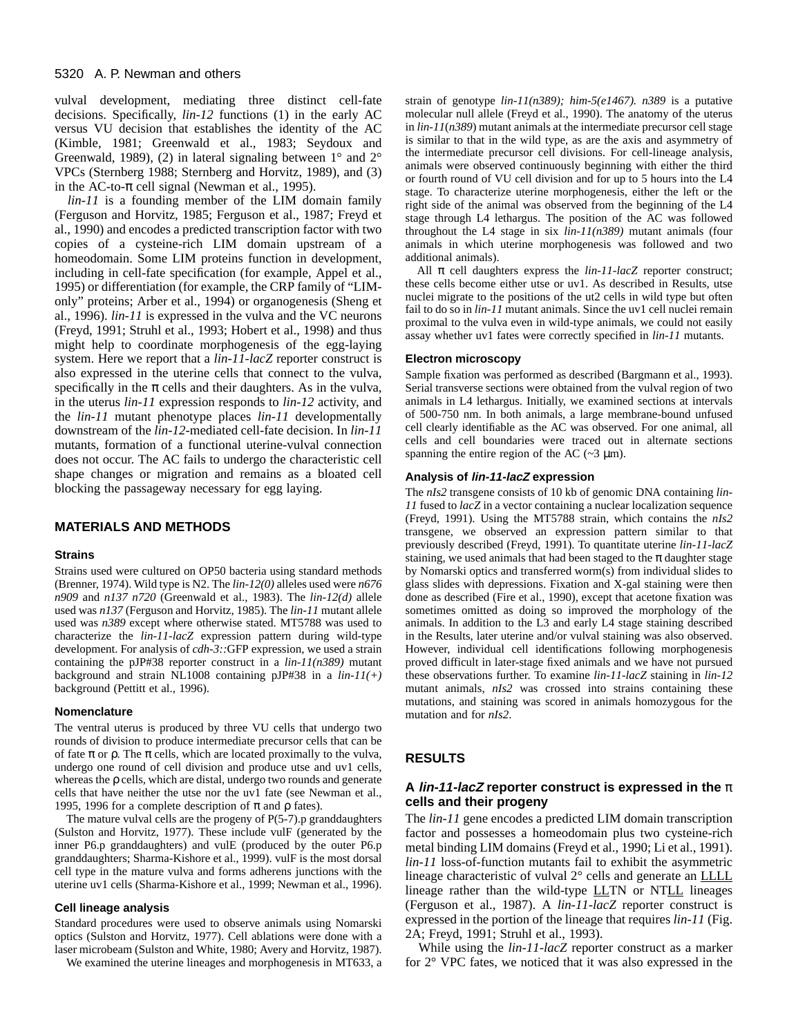vulval development, mediating three distinct cell-fate decisions. Specifically, *lin-12* functions (1) in the early AC versus VU decision that establishes the identity of the AC (Kimble, 1981; Greenwald et al., 1983; Seydoux and Greenwald, 1989), (2) in lateral signaling between  $1^{\circ}$  and  $2^{\circ}$ VPCs (Sternberg 1988; Sternberg and Horvitz, 1989), and (3) in the AC-to- $\pi$  cell signal (Newman et al., 1995).

*lin-11* is a founding member of the LIM domain family (Ferguson and Horvitz, 1985; Ferguson et al., 1987; Freyd et al., 1990) and encodes a predicted transcription factor with two copies of a cysteine-rich LIM domain upstream of a homeodomain. Some LIM proteins function in development, including in cell-fate specification (for example, Appel et al., 1995) or differentiation (for example, the CRP family of "LIMonly" proteins; Arber et al., 1994) or organogenesis (Sheng et al., 1996). *lin-11* is expressed in the vulva and the VC neurons (Freyd, 1991; Struhl et al., 1993; Hobert et al., 1998) and thus might help to coordinate morphogenesis of the egg-laying system. Here we report that a *lin-11-lacZ* reporter construct is also expressed in the uterine cells that connect to the vulva, specifically in the  $\pi$  cells and their daughters. As in the vulva, in the uterus *lin-11* expression responds to *lin-12* activity, and the *lin-11* mutant phenotype places *lin-11* developmentally downstream of the *lin-12*-mediated cell-fate decision. In *lin-11* mutants, formation of a functional uterine-vulval connection does not occur. The AC fails to undergo the characteristic cell shape changes or migration and remains as a bloated cell blocking the passageway necessary for egg laying.

# **MATERIALS AND METHODS**

#### **Strains**

Strains used were cultured on OP50 bacteria using standard methods (Brenner, 1974). Wild type is N2. The *lin-12(0)* alleles used were *n676 n909* and *n137 n720* (Greenwald et al., 1983). The *lin-12(d)* allele used was *n137* (Ferguson and Horvitz, 1985). The *lin-11* mutant allele used was *n389* except where otherwise stated. MT5788 was used to characterize the *lin-11-lacZ* expression pattern during wild-type development. For analysis of *cdh-3::*GFP expression, we used a strain containing the pJP#38 reporter construct in a *lin-11(n389)* mutant background and strain NL1008 containing pJP#38 in a *lin-11(+)* background (Pettitt et al., 1996).

#### **Nomenclature**

The ventral uterus is produced by three VU cells that undergo two rounds of division to produce intermediate precursor cells that can be of fate  $\pi$  or  $\rho$ . The  $\pi$  cells, which are located proximally to the vulva, undergo one round of cell division and produce utse and uv1 cells, whereas the ρ cells, which are distal, undergo two rounds and generate cells that have neither the utse nor the uv1 fate (see Newman et al., 1995, 1996 for a complete description of π and  $ρ$  fates).

The mature vulval cells are the progeny of  $P(5-7)$ . p granddaughters (Sulston and Horvitz, 1977). These include vulF (generated by the inner P6.p granddaughters) and vulE (produced by the outer P6.p granddaughters; Sharma-Kishore et al., 1999). vulF is the most dorsal cell type in the mature vulva and forms adherens junctions with the uterine uv1 cells (Sharma-Kishore et al., 1999; Newman et al., 1996).

#### **Cell lineage analysis**

Standard procedures were used to observe animals using Nomarski optics (Sulston and Horvitz, 1977). Cell ablations were done with a laser microbeam (Sulston and White, 1980; Avery and Horvitz, 1987).

We examined the uterine lineages and morphogenesis in MT633, a

strain of genotype *lin-11(n389); him-5(e1467). n389* is a putative molecular null allele (Freyd et al., 1990). The anatomy of the uterus in *lin-11*(*n389*) mutant animals at the intermediate precursor cell stage is similar to that in the wild type, as are the axis and asymmetry of the intermediate precursor cell divisions. For cell-lineage analysis, animals were observed continuously beginning with either the third or fourth round of VU cell division and for up to 5 hours into the L4 stage. To characterize uterine morphogenesis, either the left or the right side of the animal was observed from the beginning of the L4 stage through L4 lethargus. The position of the AC was followed throughout the L4 stage in six *lin-11(n389)* mutant animals (four animals in which uterine morphogenesis was followed and two additional animals).

All π cell daughters express the *lin-11-lacZ* reporter construct; these cells become either utse or uv1. As described in Results, utse nuclei migrate to the positions of the ut2 cells in wild type but often fail to do so in *lin-11* mutant animals. Since the uv1 cell nuclei remain proximal to the vulva even in wild-type animals, we could not easily assay whether uv1 fates were correctly specified in *lin-11* mutants.

#### **Electron microscopy**

Sample fixation was performed as described (Bargmann et al., 1993). Serial transverse sections were obtained from the vulval region of two animals in L4 lethargus. Initially, we examined sections at intervals of 500-750 nm. In both animals, a large membrane-bound unfused cell clearly identifiable as the AC was observed. For one animal, all cells and cell boundaries were traced out in alternate sections spanning the entire region of the AC  $(\sim 3 \mu m)$ .

#### **Analysis of lin-11-lacZ expression**

The *nIs2* transgene consists of 10 kb of genomic DNA containing *lin-11* fused to *lacZ* in a vector containing a nuclear localization sequence (Freyd, 1991). Using the MT5788 strain, which contains the *nIs2* transgene, we observed an expression pattern similar to that previously described (Freyd, 1991). To quantitate uterine *lin-11-lacZ* staining, we used animals that had been staged to the  $\pi$  daughter stage by Nomarski optics and transferred worm(s) from individual slides to glass slides with depressions. Fixation and X-gal staining were then done as described (Fire et al., 1990), except that acetone fixation was sometimes omitted as doing so improved the morphology of the animals. In addition to the L3 and early L4 stage staining described in the Results, later uterine and/or vulval staining was also observed. However, individual cell identifications following morphogenesis proved difficult in later-stage fixed animals and we have not pursued these observations further. To examine *lin-11-lacZ* staining in *lin-12* mutant animals, *nIs2* was crossed into strains containing these mutations, and staining was scored in animals homozygous for the mutation and for *nIs2*.

# **RESULTS**

# **A lin-11-lacZ reporter construct is expressed in the** π **cells and their progeny**

The *lin-11* gene encodes a predicted LIM domain transcription factor and possesses a homeodomain plus two cysteine-rich metal binding LIM domains (Freyd et al., 1990; Li et al., 1991). *lin-11* loss-of-function mutants fail to exhibit the asymmetric lineage characteristic of vulval 2° cells and generate an **LLLL** lineage rather than the wild-type **LLTN** or NTLL lineages (Ferguson et al., 1987). A *lin-11-lacZ* reporter construct is expressed in the portion of the lineage that requires *lin-11* (Fig. 2A; Freyd, 1991; Struhl et al., 1993).

While using the *lin-11-lacZ* reporter construct as a marker for 2° VPC fates, we noticed that it was also expressed in the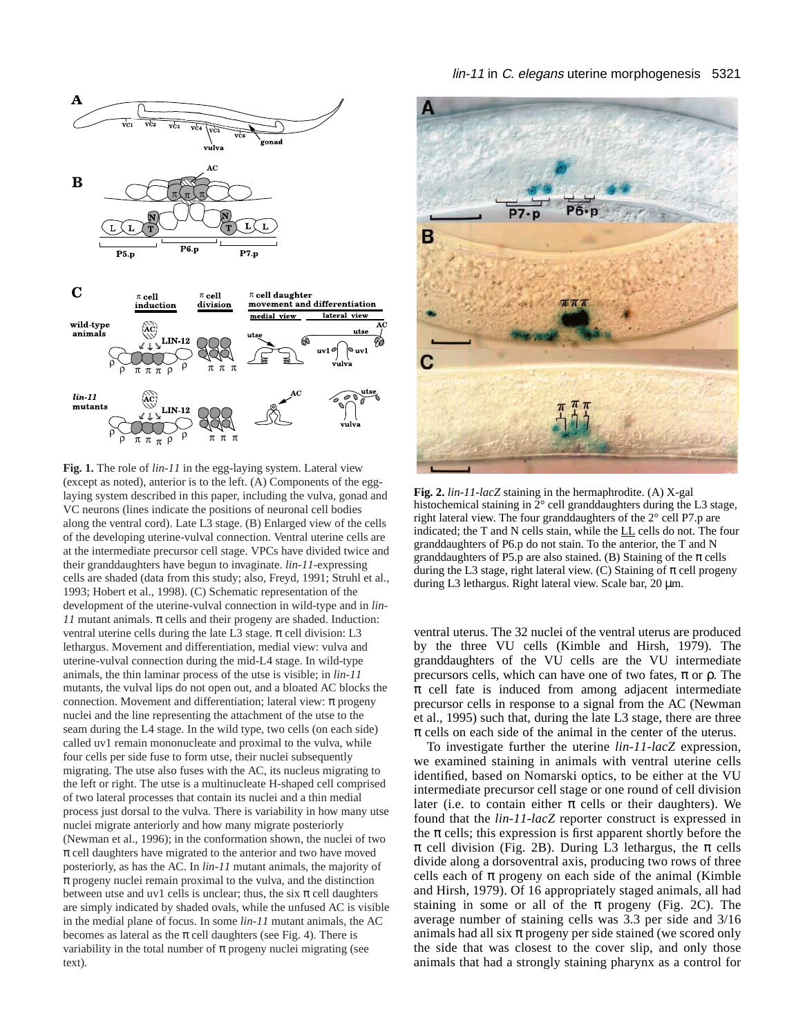

**Fig. 1.** The role of *lin-11* in the egg-laying system. Lateral view (except as noted), anterior is to the left. (A) Components of the egglaying system described in this paper, including the vulva, gonad and VC neurons (lines indicate the positions of neuronal cell bodies along the ventral cord). Late L3 stage. (B) Enlarged view of the cells of the developing uterine-vulval connection. Ventral uterine cells are at the intermediate precursor cell stage. VPCs have divided twice and their granddaughters have begun to invaginate. *lin-11*-expressing cells are shaded (data from this study; also, Freyd, 1991; Struhl et al., 1993; Hobert et al., 1998). (C) Schematic representation of the development of the uterine-vulval connection in wild-type and in *lin-11* mutant animals.  $\pi$  cells and their progeny are shaded. Induction: ventral uterine cells during the late L3 stage.  $\pi$  cell division: L3 lethargus. Movement and differentiation, medial view: vulva and uterine-vulval connection during the mid-L4 stage. In wild-type animals, the thin laminar process of the utse is visible; in *lin-11* mutants, the vulval lips do not open out, and a bloated AC blocks the connection. Movement and differentiation; lateral view: π progeny nuclei and the line representing the attachment of the utse to the seam during the L4 stage. In the wild type, two cells (on each side) called uv1 remain mononucleate and proximal to the vulva, while four cells per side fuse to form utse, their nuclei subsequently migrating. The utse also fuses with the AC, its nucleus migrating to the left or right. The utse is a multinucleate H-shaped cell comprised of two lateral processes that contain its nuclei and a thin medial process just dorsal to the vulva. There is variability in how many utse nuclei migrate anteriorly and how many migrate posteriorly (Newman et al., 1996); in the conformation shown, the nuclei of two  $\pi$  cell daughters have migrated to the anterior and two have moved posteriorly, as has the AC. In *lin-11* mutant animals, the majority of  $\pi$  progeny nuclei remain proximal to the vulva, and the distinction between utse and uv1 cells is unclear; thus, the six  $\pi$  cell daughters are simply indicated by shaded ovals, while the unfused AC is visible in the medial plane of focus. In some *lin-11* mutant animals, the AC becomes as lateral as the  $\pi$  cell daughters (see Fig. 4). There is variability in the total number of  $\pi$  progeny nuclei migrating (see text).



**Fig. 2.** *lin-11-lacZ* staining in the hermaphrodite. (A) X-gal histochemical staining in 2° cell granddaughters during the L3 stage, right lateral view. The four granddaughters of the 2° cell P7.p are indicated; the T and N cells stain, while the LL cells do not. The four granddaughters of P6.p do not stain. To the anterior, the T and N granddaughters of P5.p are also stained. (B) Staining of the  $\pi$  cells during the L3 stage, right lateral view. (C) Staining of  $\pi$  cell progeny during L3 lethargus. Right lateral view. Scale bar, 20 µm.

ventral uterus. The 32 nuclei of the ventral uterus are produced by the three VU cells (Kimble and Hirsh, 1979). The granddaughters of the VU cells are the VU intermediate precursors cells, which can have one of two fates,  $\pi$  or  $\rho$ . The  $\pi$  cell fate is induced from among adjacent intermediate precursor cells in response to a signal from the AC (Newman et al., 1995) such that, during the late L3 stage, there are three  $\pi$  cells on each side of the animal in the center of the uterus.

To investigate further the uterine *lin-11-lacZ* expression, we examined staining in animals with ventral uterine cells identified, based on Nomarski optics, to be either at the VU intermediate precursor cell stage or one round of cell division later (i.e. to contain either  $\pi$  cells or their daughters). We found that the *lin-11-lacZ* reporter construct is expressed in the  $\pi$  cells; this expression is first apparent shortly before the  $\pi$  cell division (Fig. 2B). During L3 lethargus, the  $\pi$  cells divide along a dorsoventral axis, producing two rows of three cells each of  $\pi$  progeny on each side of the animal (Kimble and Hirsh, 1979). Of 16 appropriately staged animals, all had staining in some or all of the  $\pi$  progeny (Fig. 2C). The average number of staining cells was 3.3 per side and 3/16 animals had all six  $\pi$  progeny per side stained (we scored only the side that was closest to the cover slip, and only those animals that had a strongly staining pharynx as a control for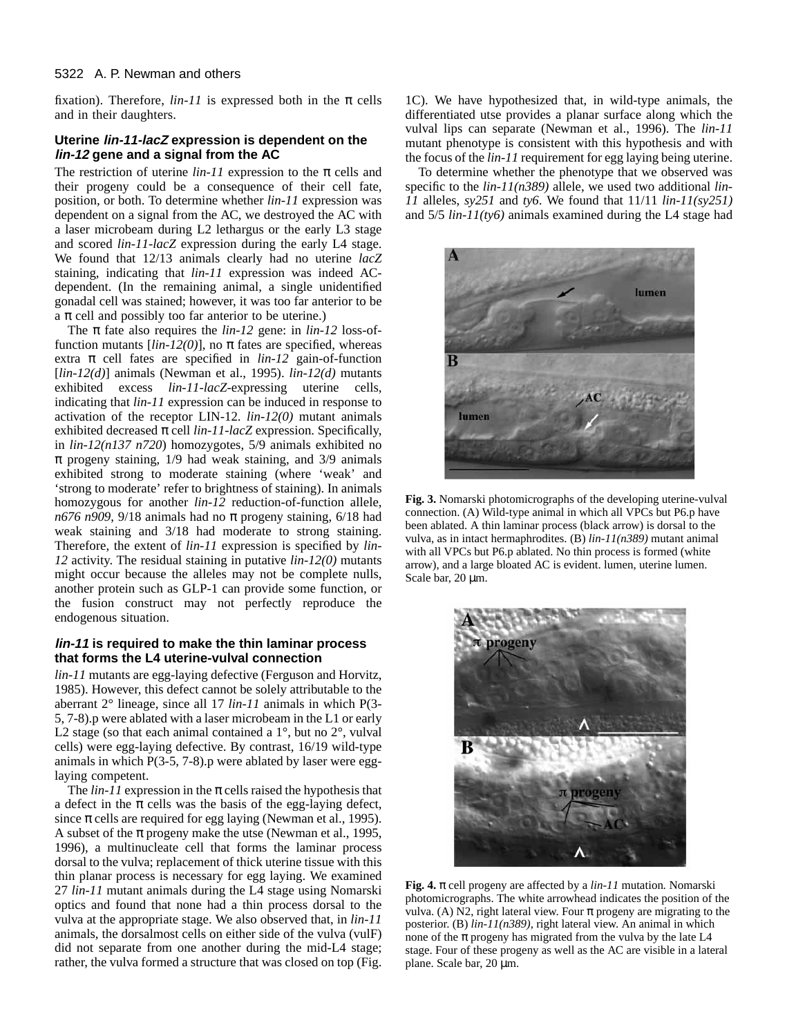#### 5322 A. P. Newman and others

fixation). Therefore,  $lin-11$  is expressed both in the  $\pi$  cells and in their daughters.

# **Uterine lin-11-lacZ expression is dependent on the lin-12 gene and a signal from the AC**

The restriction of uterine  $lin-11$  expression to the  $\pi$  cells and their progeny could be a consequence of their cell fate, position, or both. To determine whether *lin-11* expression was dependent on a signal from the AC, we destroyed the AC with a laser microbeam during L2 lethargus or the early L3 stage and scored *lin-11-lacZ* expression during the early L4 stage. We found that 12/13 animals clearly had no uterine *lacZ* staining, indicating that *lin-11* expression was indeed ACdependent. (In the remaining animal, a single unidentified gonadal cell was stained; however, it was too far anterior to be  $\alpha \pi$  cell and possibly too far anterior to be uterine.)

The π fate also requires the *lin-12* gene: in *lin-12* loss-offunction mutants  $\left[ lin - 12(0) \right]$ , no  $\pi$  fates are specified, whereas extra  $\pi$  cell fates are specified in  $\lim_{h \to 0} -12$  gain-of-function [*lin-12(d)*] animals (Newman et al., 1995). *lin-12(d)* mutants exhibited excess *lin-11-lacZ*-expressing uterine cells, indicating that *lin-11* expression can be induced in response to activation of the receptor LIN-12. *lin-12(0)* mutant animals exhibited decreased  $\pi$  cell *lin-11-lacZ* expression. Specifically, in *lin-12(n137 n720*) homozygotes, 5/9 animals exhibited no  $\pi$  progeny staining, 1/9 had weak staining, and 3/9 animals exhibited strong to moderate staining (where 'weak' and 'strong to moderate' refer to brightness of staining). In animals homozygous for another *lin-12* reduction-of-function allele, *n*676 *n909*, 9/18 animals had no  $\pi$  progeny staining, 6/18 had weak staining and 3/18 had moderate to strong staining. Therefore, the extent of *lin-11* expression is specified by *lin-12* activity. The residual staining in putative *lin-12(0)* mutants might occur because the alleles may not be complete nulls, another protein such as GLP-1 can provide some function, or the fusion construct may not perfectly reproduce the endogenous situation.

## **lin-11 is required to make the thin laminar process that forms the L4 uterine-vulval connection**

*lin-11* mutants are egg-laying defective (Ferguson and Horvitz, 1985). However, this defect cannot be solely attributable to the aberrant 2° lineage, since all 17 *lin-11* animals in which P(3- 5, 7-8).p were ablated with a laser microbeam in the L1 or early L2 stage (so that each animal contained a  $1^\circ$ , but no  $2^\circ$ , vulval cells) were egg-laying defective. By contrast, 16/19 wild-type animals in which  $P(3-5, 7-8)$ . p were ablated by laser were egglaying competent.

The  $lin-11$  expression in the  $\pi$  cells raised the hypothesis that a defect in the  $\pi$  cells was the basis of the egg-laying defect, since  $\pi$  cells are required for egg laying (Newman et al., 1995). A subset of the  $\pi$  progeny make the utse (Newman et al., 1995, 1996), a multinucleate cell that forms the laminar process dorsal to the vulva; replacement of thick uterine tissue with this thin planar process is necessary for egg laying. We examined 27 *lin-11* mutant animals during the L4 stage using Nomarski optics and found that none had a thin process dorsal to the vulva at the appropriate stage. We also observed that, in *lin-11* animals, the dorsalmost cells on either side of the vulva (vulF) did not separate from one another during the mid-L4 stage; rather, the vulva formed a structure that was closed on top (Fig.

1C). We have hypothesized that, in wild-type animals, the differentiated utse provides a planar surface along which the vulval lips can separate (Newman et al., 1996). The *lin-11* mutant phenotype is consistent with this hypothesis and with the focus of the *lin-11* requirement for egg laying being uterine.

To determine whether the phenotype that we observed was specific to the *lin-11(n389)* allele, we used two additional *lin-11* alleles, *sy251* and *ty6*. We found that 11/11 *lin-11(sy251)* and 5/5 *lin-11(ty6)* animals examined during the L4 stage had



**Fig. 3.** Nomarski photomicrographs of the developing uterine-vulval connection. (A) Wild-type animal in which all VPCs but P6.p have been ablated. A thin laminar process (black arrow) is dorsal to the vulva, as in intact hermaphrodites. (B) *lin-11(n389)* mutant animal with all VPCs but P6.p ablated. No thin process is formed (white arrow), and a large bloated AC is evident. lumen, uterine lumen. Scale bar, 20  $\mu$ m.



**Fig. 4.** π cell progeny are affected by a *lin-11* mutation*.* Nomarski photomicrographs. The white arrowhead indicates the position of the vulva. (A) N2, right lateral view. Four  $\pi$  progeny are migrating to the posterior. (B) *lin-11(n389)*, right lateral view. An animal in which none of the  $\pi$  progeny has migrated from the vulva by the late L4 stage. Four of these progeny as well as the AC are visible in a lateral plane. Scale bar, 20 µm.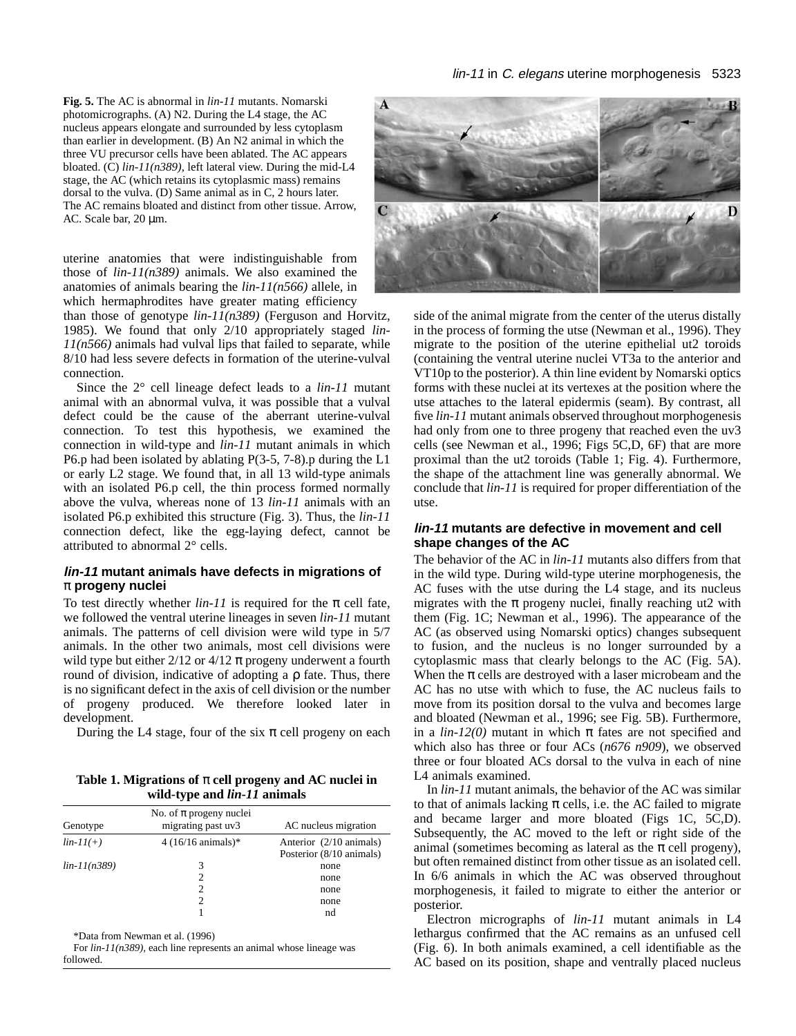**Fig. 5.** The AC is abnormal in *lin-11* mutants. Nomarski photomicrographs. (A) N2. During the L4 stage, the AC nucleus appears elongate and surrounded by less cytoplasm than earlier in development. (B) An N2 animal in which the three VU precursor cells have been ablated. The AC appears bloated. (C) *lin-11(n389)*, left lateral view. During the mid-L4 stage, the AC (which retains its cytoplasmic mass) remains dorsal to the vulva. (D) Same animal as in C, 2 hours later. The AC remains bloated and distinct from other tissue. Arrow, AC. Scale bar, 20 µm.

uterine anatomies that were indistinguishable from those of *lin-11(n389)* animals. We also examined the anatomies of animals bearing the *lin-11(n566)* allele, in which hermaphrodites have greater mating efficiency

than those of genotype *lin-11(n389)* (Ferguson and Horvitz, 1985). We found that only 2/10 appropriately staged *lin-11(n566)* animals had vulval lips that failed to separate, while 8/10 had less severe defects in formation of the uterine-vulval connection.

Since the 2° cell lineage defect leads to a *lin-11* mutant animal with an abnormal vulva, it was possible that a vulval defect could be the cause of the aberrant uterine-vulval connection. To test this hypothesis, we examined the connection in wild-type and *lin-11* mutant animals in which P6.p had been isolated by ablating P(3-5, 7-8).p during the L1 or early L2 stage. We found that, in all 13 wild-type animals with an isolated P6.p cell, the thin process formed normally above the vulva, whereas none of 13 *lin-11* animals with an isolated P6.p exhibited this structure (Fig. 3). Thus, the *lin-11* connection defect, like the egg-laying defect, cannot be attributed to abnormal 2° cells.

# **lin-11 mutant animals have defects in migrations of** π **progeny nuclei**

To test directly whether  $lin-11$  is required for the  $\pi$  cell fate, we followed the ventral uterine lineages in seven *lin-11* mutant animals. The patterns of cell division were wild type in 5/7 animals. In the other two animals, most cell divisions were wild type but either  $2/12$  or  $4/12 \pi$  progeny underwent a fourth round of division, indicative of adopting a ρ fate. Thus, there is no significant defect in the axis of cell division or the number of progeny produced. We therefore looked later in development.

During the L4 stage, four of the six  $\pi$  cell progeny on each

**Table 1. Migrations of** π **cell progeny and AC nuclei in wild-type and** *lin-11* **animals**

| Genotype       | No. of $\pi$ progeny nuclei<br>migrating past uv3 | AC nucleus migration                                |
|----------------|---------------------------------------------------|-----------------------------------------------------|
| $lin-11(+)$    | $4(16/16 \text{ animals})*$                       | Anterior (2/10 animals)<br>Posterior (8/10 animals) |
| $lin-11(n389)$ | 3                                                 | none<br>none                                        |
|                | 2<br>2                                            | none<br>none<br>nd                                  |

\*Data from Newman et al. (1996)

For *lin-11(n389),* each line represents an animal whose lineage was followed.



side of the animal migrate from the center of the uterus distally in the process of forming the utse (Newman et al., 1996). They migrate to the position of the uterine epithelial ut2 toroids (containing the ventral uterine nuclei VT3a to the anterior and VT10p to the posterior). A thin line evident by Nomarski optics forms with these nuclei at its vertexes at the position where the utse attaches to the lateral epidermis (seam). By contrast, all five *lin-11* mutant animals observed throughout morphogenesis had only from one to three progeny that reached even the uv3 cells (see Newman et al., 1996; Figs 5C,D, 6F) that are more proximal than the ut2 toroids (Table 1; Fig. 4). Furthermore, the shape of the attachment line was generally abnormal. We conclude that *lin-11* is required for proper differentiation of the utse.

# **lin-11 mutants are defective in movement and cell shape changes of the AC**

The behavior of the AC in *lin-11* mutants also differs from that in the wild type. During wild-type uterine morphogenesis, the AC fuses with the utse during the L4 stage, and its nucleus migrates with the  $\pi$  progeny nuclei, finally reaching ut2 with them (Fig. 1C; Newman et al., 1996). The appearance of the AC (as observed using Nomarski optics) changes subsequent to fusion, and the nucleus is no longer surrounded by a cytoplasmic mass that clearly belongs to the AC (Fig. 5A). When the  $\pi$  cells are destroyed with a laser microbeam and the AC has no utse with which to fuse, the AC nucleus fails to move from its position dorsal to the vulva and becomes large and bloated (Newman et al., 1996; see Fig. 5B). Furthermore, in a  $\lim_{h \to 0} -12(0)$  mutant in which  $\pi$  fates are not specified and which also has three or four ACs (*n676 n909*), we observed three or four bloated ACs dorsal to the vulva in each of nine L4 animals examined.

In *lin-11* mutant animals, the behavior of the AC was similar to that of animals lacking  $\pi$  cells, i.e. the AC failed to migrate and became larger and more bloated (Figs 1C, 5C,D). Subsequently, the AC moved to the left or right side of the animal (sometimes becoming as lateral as the  $\pi$  cell progeny), but often remained distinct from other tissue as an isolated cell. In 6/6 animals in which the AC was observed throughout morphogenesis, it failed to migrate to either the anterior or posterior.

Electron micrographs of *lin-11* mutant animals in L4 lethargus confirmed that the AC remains as an unfused cell (Fig. 6). In both animals examined, a cell identifiable as the AC based on its position, shape and ventrally placed nucleus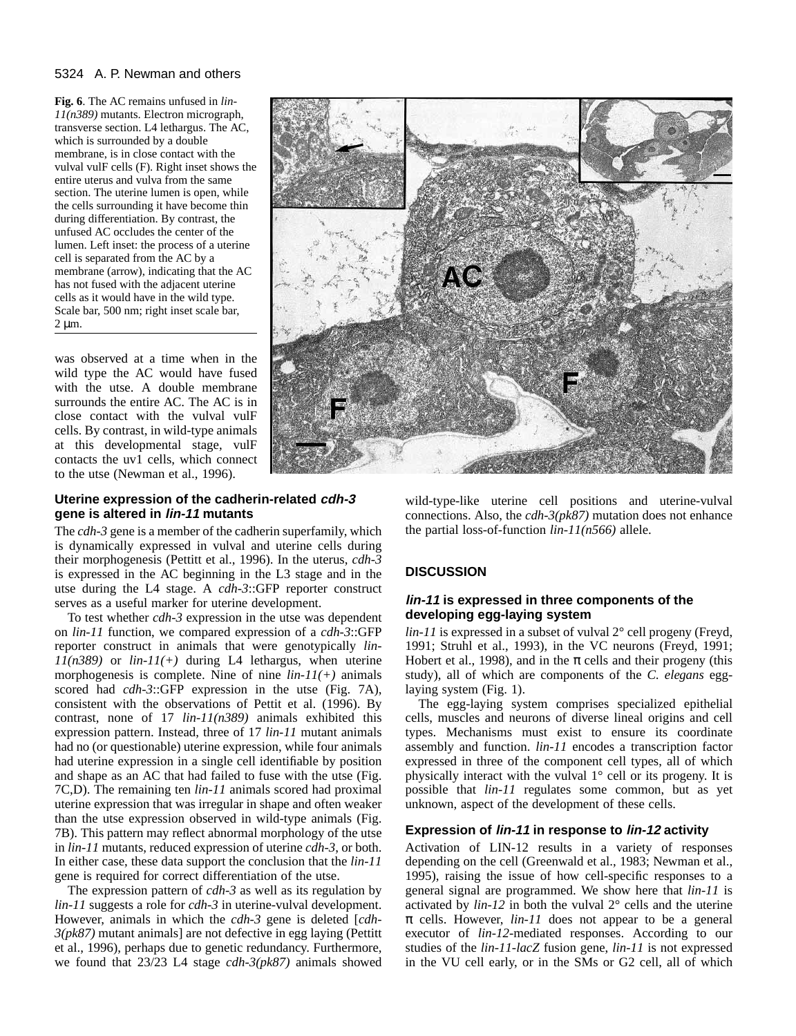#### 5324 A. P. Newman and others

**Fig. 6**. The AC remains unfused in *lin-11(n389)* mutants. Electron micrograph, transverse section. L4 lethargus. The AC, which is surrounded by a double membrane, is in close contact with the vulval vulF cells (F). Right inset shows the entire uterus and vulva from the same section. The uterine lumen is open, while the cells surrounding it have become thin during differentiation. By contrast, the unfused AC occludes the center of the lumen. Left inset: the process of a uterine cell is separated from the AC by a membrane (arrow), indicating that the AC has not fused with the adjacent uterine cells as it would have in the wild type. Scale bar, 500 nm; right inset scale bar,  $2 \mu m$ .

was observed at a time when in the wild type the AC would have fused with the utse. A double membrane surrounds the entire AC. The AC is in close contact with the vulval vulF cells. By contrast, in wild-type animals at this developmental stage, vulF contacts the uv1 cells, which connect to the utse (Newman et al., 1996).

# **Uterine expression of the cadherin-related cdh-3 gene is altered in lin-11 mutants**

The *cdh-3* gene is a member of the cadherin superfamily, which is dynamically expressed in vulval and uterine cells during their morphogenesis (Pettitt et al., 1996). In the uterus, *cdh-3* is expressed in the AC beginning in the L3 stage and in the utse during the L4 stage. A *cdh-3*::GFP reporter construct serves as a useful marker for uterine development.

To test whether *cdh-3* expression in the utse was dependent on *lin-11* function, we compared expression of a *cdh-3*::GFP reporter construct in animals that were genotypically *lin-11(n389)* or *lin-11(+)* during L4 lethargus, when uterine morphogenesis is complete. Nine of nine *lin-11(+)* animals scored had *cdh-3*::GFP expression in the utse (Fig. 7A), consistent with the observations of Pettit et al. (1996). By contrast, none of 17 *lin-11(n389)* animals exhibited this expression pattern. Instead, three of 17 *lin-11* mutant animals had no (or questionable) uterine expression, while four animals had uterine expression in a single cell identifiable by position and shape as an AC that had failed to fuse with the utse (Fig. 7C,D). The remaining ten *lin-11* animals scored had proximal uterine expression that was irregular in shape and often weaker than the utse expression observed in wild-type animals (Fig. 7B). This pattern may reflect abnormal morphology of the utse in *lin-11* mutants, reduced expression of uterine *cdh-3*, or both. In either case, these data support the conclusion that the *lin-11* gene is required for correct differentiation of the utse.

The expression pattern of *cdh-3* as well as its regulation by *lin-11* suggests a role for *cdh-3* in uterine-vulval development. However, animals in which the *cdh-3* gene is deleted [*cdh-3(pk87)* mutant animals] are not defective in egg laying (Pettitt et al., 1996), perhaps due to genetic redundancy. Furthermore, we found that 23/23 L4 stage *cdh-3(pk87)* animals showed

wild-type-like uterine cell positions and uterine-vulval connections. Also, the *cdh-3(pk87)* mutation does not enhance the partial loss-of-function *lin-11(n566)* allele.

# **DISCUSSION**

# **lin-11 is expressed in three components of the developing egg-laying system**

*lin-11* is expressed in a subset of vulval 2° cell progeny (Freyd, 1991; Struhl et al., 1993), in the VC neurons (Freyd, 1991; Hobert et al., 1998), and in the  $\pi$  cells and their progeny (this study), all of which are components of the *C. elegans* egglaying system (Fig. 1).

The egg-laying system comprises specialized epithelial cells, muscles and neurons of diverse lineal origins and cell types. Mechanisms must exist to ensure its coordinate assembly and function. *lin-11* encodes a transcription factor expressed in three of the component cell types, all of which physically interact with the vulval 1° cell or its progeny. It is possible that *lin-11* regulates some common, but as yet unknown, aspect of the development of these cells.

# **Expression of lin-11 in response to lin-12 activity**

Activation of LIN-12 results in a variety of responses depending on the cell (Greenwald et al., 1983; Newman et al., 1995), raising the issue of how cell-specific responses to a general signal are programmed. We show here that *lin-11* is activated by  $lin-12$  in both the vulval  $2^{\circ}$  cells and the uterine  $\pi$  cells. However, *lin-11* does not appear to be a general executor of *lin-12*-mediated responses. According to our studies of the *lin-11-lacZ* fusion gene, *lin-11* is not expressed in the VU cell early, or in the SMs or G2 cell, all of which

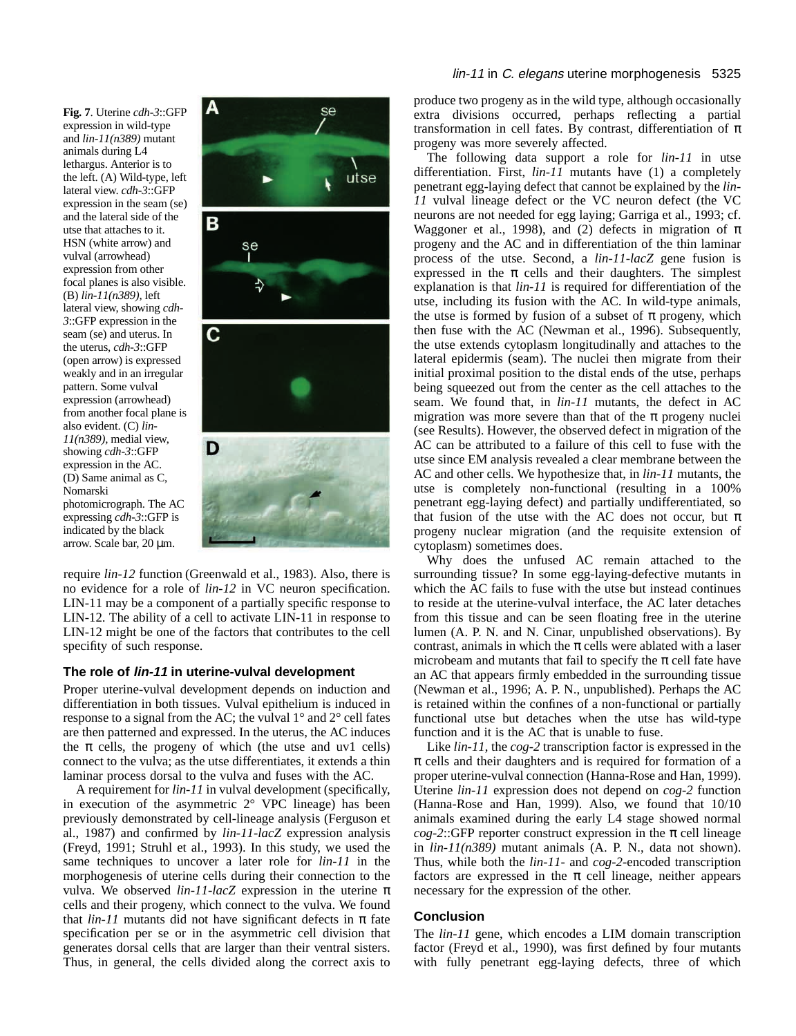**Fig. 7**. Uterine *cdh-3*::GFP expression in wild-type and *lin-11(n389)* mutant animals during L4 lethargus. Anterior is to the left. (A) Wild-type, left lateral view. *cdh-3*::GFP expression in the seam (se) and the lateral side of the utse that attaches to it. HSN (white arrow) and vulval (arrowhead) expression from other focal planes is also visible. (B) *lin-11(n389),* left lateral view, showing *cdh-3*::GFP expression in the seam (se) and uterus. In the uterus, *cdh-3*::GFP (open arrow) is expressed weakly and in an irregular pattern. Some vulval expression (arrowhead) from another focal plane is also evident. (C) *lin-11(n389),* medial view, showing *cdh-3*::GFP expression in the AC. (D) Same animal as C, Nomarski photomicrograph. The AC expressing *cdh-3*::GFP is indicated by the black arrow. Scale bar, 20 µm.



require *lin-12* function (Greenwald et al., 1983). Also, there is no evidence for a role of *lin-12* in VC neuron specification. LIN-11 may be a component of a partially specific response to LIN-12. The ability of a cell to activate LIN-11 in response to LIN-12 might be one of the factors that contributes to the cell specifity of such response.

#### **The role of lin-11 in uterine-vulval development**

Proper uterine-vulval development depends on induction and differentiation in both tissues. Vulval epithelium is induced in response to a signal from the AC; the vulval 1° and 2° cell fates are then patterned and expressed. In the uterus, the AC induces the  $\pi$  cells, the progeny of which (the utse and uv1 cells) connect to the vulva; as the utse differentiates, it extends a thin laminar process dorsal to the vulva and fuses with the AC.

A requirement for *lin-11* in vulval development (specifically, in execution of the asymmetric  $2^{\circ}$  VPC lineage) has been previously demonstrated by cell-lineage analysis (Ferguson et al., 1987) and confirmed by *lin-11-lacZ* expression analysis (Freyd, 1991; Struhl et al., 1993). In this study, we used the same techniques to uncover a later role for *lin-11* in the morphogenesis of uterine cells during their connection to the vulva. We observed *lin-11-lacZ* expression in the uterine π cells and their progeny, which connect to the vulva. We found that  $lin-11$  mutants did not have significant defects in  $\pi$  fate specification per se or in the asymmetric cell division that generates dorsal cells that are larger than their ventral sisters. Thus, in general, the cells divided along the correct axis to

#### lin-11 in C. elegans uterine morphogenesis 5325

produce two progeny as in the wild type, although occasionally extra divisions occurred, perhaps reflecting a partial transformation in cell fates. By contrast, differentiation of  $\pi$ progeny was more severely affected.

The following data support a role for *lin-11* in utse differentiation. First, *lin-11* mutants have (1) a completely penetrant egg-laying defect that cannot be explained by the *lin-11* vulval lineage defect or the VC neuron defect (the VC neurons are not needed for egg laying; Garriga et al., 1993; cf. Waggoner et al., 1998), and (2) defects in migration of  $\pi$ progeny and the AC and in differentiation of the thin laminar process of the utse. Second, a *lin-11-lacZ* gene fusion is expressed in the  $\pi$  cells and their daughters. The simplest explanation is that *lin-11* is required for differentiation of the utse, including its fusion with the AC. In wild-type animals, the utse is formed by fusion of a subset of  $\pi$  progeny, which then fuse with the AC (Newman et al., 1996). Subsequently, the utse extends cytoplasm longitudinally and attaches to the lateral epidermis (seam). The nuclei then migrate from their initial proximal position to the distal ends of the utse, perhaps being squeezed out from the center as the cell attaches to the seam. We found that, in *lin-11* mutants, the defect in AC migration was more severe than that of the  $\pi$  progeny nuclei (see Results). However, the observed defect in migration of the AC can be attributed to a failure of this cell to fuse with the utse since EM analysis revealed a clear membrane between the AC and other cells. We hypothesize that, in *lin-11* mutants, the utse is completely non-functional (resulting in a 100% penetrant egg-laying defect) and partially undifferentiated, so that fusion of the utse with the AC does not occur, but  $\pi$ progeny nuclear migration (and the requisite extension of cytoplasm) sometimes does.

Why does the unfused AC remain attached to the surrounding tissue? In some egg-laying-defective mutants in which the AC fails to fuse with the utse but instead continues to reside at the uterine-vulval interface, the AC later detaches from this tissue and can be seen floating free in the uterine lumen (A. P. N. and N. Cinar, unpublished observations). By contrast, animals in which the  $\pi$  cells were ablated with a laser microbeam and mutants that fail to specify the  $\pi$  cell fate have an AC that appears firmly embedded in the surrounding tissue (Newman et al., 1996; A. P. N., unpublished). Perhaps the AC is retained within the confines of a non-functional or partially functional utse but detaches when the utse has wild-type function and it is the AC that is unable to fuse.

Like *lin-11*, the *cog-2* transcription factor is expressed in the  $\pi$  cells and their daughters and is required for formation of a proper uterine-vulval connection (Hanna-Rose and Han, 1999). Uterine *lin-11* expression does not depend on *cog-2* function (Hanna-Rose and Han, 1999). Also, we found that 10/10 animals examined during the early L4 stage showed normal  $\cos$ -2::GFP reporter construct expression in the  $\pi$  cell lineage in *lin-11(n389)* mutant animals (A. P. N., data not shown). Thus, while both the *lin-11*- and *cog-2*-encoded transcription factors are expressed in the  $\pi$  cell lineage, neither appears necessary for the expression of the other.

#### **Conclusion**

The *lin-11* gene, which encodes a LIM domain transcription factor (Freyd et al., 1990), was first defined by four mutants with fully penetrant egg-laying defects, three of which